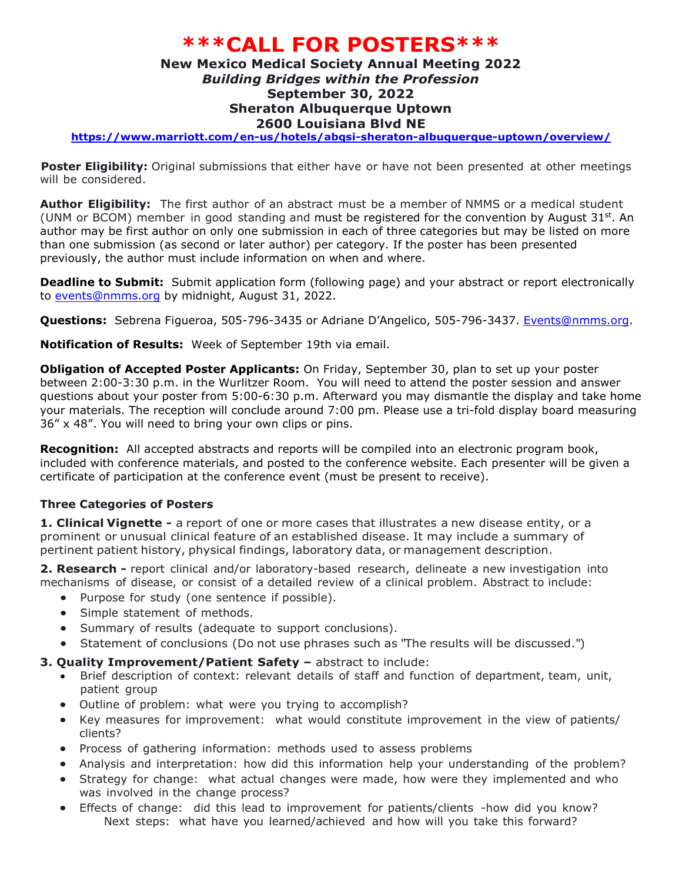## **\*\*\*CALL FOR POSTERS\*\*\***

## **New Mexico Medical Society Annual Meeting 2022** *Building Bridges within the Profession* **September 30, 2022 Sheraton Albuquerque Uptown 2600 Louisiana Blvd NE**

**<https://www.marriott.com/en-us/hotels/abqsi-sheraton-albuquerque-uptown/overview/>**

**Poster Eligibility:** Original submissions that either have or have not been presented at other meetings will be considered.

**Author Eligibility:** The first author of an abstract must be a member of NMMS or a medical student (UNM or BCOM) member in good standing and must be registered for the convention by August  $31<sup>st</sup>$ . An author may be first author on only one submission in each of three categories but may be listed on more than one submission (as second or later author) per category. If the poster has been presented previously, the author must include information on when and where.

**Deadline to Submit:** Submit application form (following page) and your abstract or report electronically to [events@nmms.org](mailto:events@nmms.org) by midnight, August 31, 2022.

**Questions:** Sebrena Figueroa, 505-796-3435 or Adriane D'Angelico, 505-796-3437. [Events@nmms.org.](mailto:Events@nmms.org)

**Notification of Results:** Week of September 19th via email.

**Obligation of Accepted Poster Applicants:** On Friday, September 30, plan to set up your poster between 2:00-3:30 p.m. in the Wurlitzer Room. You will need to attend the poster session and answer questions about your poster from 5:00-6:30 p.m. Afterward you may dismantle the display and take home your materials. The reception will conclude around 7:00 pm. Please use a tri-fold display board measuring 36" x 48". You will need to bring your own clips or pins.

**Recognition:** All accepted abstracts and reports will be compiled into an electronic program book, included with conference materials, and posted to the conference website. Each presenter will be given a certificate of participation at the conference event (must be present to receive).

## **Three Categories of Posters**

**1. Clinical Vignette -** a report of one or more cases that illustrates a new disease entity, or a prominent or unusual clinical feature of an established disease. It may include a summary of pertinent patient history, physical findings, laboratory data, or management description.

**2. Research -** report clinical and/or laboratory-based research, delineate a new investigation into mechanisms of disease, or consist of a detailed review of a clinical problem. Abstract to include:

- Purpose for study (one sentence if possible).
- Simple statement of methods.
- Summary of results (adequate to support conclusions).
- Statement of conclusions (Do not use phrases such as "The results will be discussed.")
- **3. Quality Improvement/Patient Safety –** abstract to include:
	- Brief description of context: relevant details of staff and function of department, team, unit, patient group
	- Outline of problem: what were you trying to accomplish?
	- Key measures for improvement: what would constitute improvement in the view of patients/ clients?
	- Process of gathering information: methods used to assess problems
	- Analysis and interpretation: how did this information help your understanding of the problem?
	- Strategy for change: what actual changes were made, how were they implemented and who was involved in the change process?
	- Effects of change: did this lead to improvement for patients/clients -how did you know? Next steps: what have you learned/achieved and how will you take this forward?